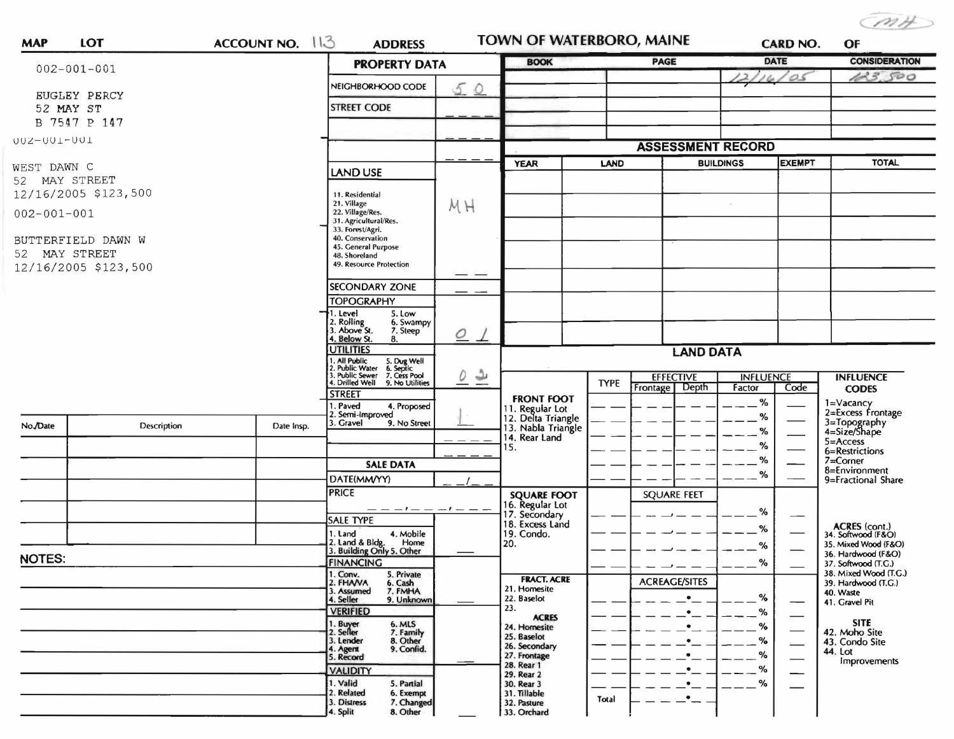CMH

| <b>MAP</b>                            | LOT                | ACCOUNT NO. 113                          | <b>ADDRESS</b>                                                                                                                               |                                               | <b>TOWN OF WATERBORO, MAINE</b>                             |             |                                       | <b>CARD NO.</b>                              |               | OF                                           |  |
|---------------------------------------|--------------------|------------------------------------------|----------------------------------------------------------------------------------------------------------------------------------------------|-----------------------------------------------|-------------------------------------------------------------|-------------|---------------------------------------|----------------------------------------------|---------------|----------------------------------------------|--|
|                                       | $002 - 001 - 001$  |                                          | <b>PROPERTY DATA</b>                                                                                                                         |                                               | <b>BOOK</b>                                                 |             | PAGE                                  | <b>DATE</b>                                  |               | <b>CONSIDERATION</b>                         |  |
|                                       |                    |                                          | NEIGHBORHOOD CODE<br>50                                                                                                                      |                                               |                                                             |             |                                       | 161                                          | 0s            | 123,500                                      |  |
| EUGLEY PERCY<br>52 MAY ST             |                    |                                          | <b>STREET CODE</b>                                                                                                                           |                                               |                                                             |             |                                       |                                              |               |                                              |  |
|                                       | B 7547 P 147       |                                          |                                                                                                                                              |                                               |                                                             |             |                                       |                                              |               |                                              |  |
| U02-001-001                           |                    |                                          |                                                                                                                                              |                                               |                                                             |             |                                       |                                              |               |                                              |  |
|                                       |                    |                                          |                                                                                                                                              |                                               |                                                             |             |                                       | <b>ASSESSMENT RECORD</b><br><b>BUILDINGS</b> |               |                                              |  |
| WEST DAWN C                           |                    |                                          | <b>LAND USE</b>                                                                                                                              |                                               | <b>YEAR</b>                                                 | LAND        |                                       |                                              | <b>EXEMPT</b> | <b>TOTAL</b>                                 |  |
| 52 MAY STREET<br>12/16/2005 \$123,500 |                    |                                          | 11. Residential                                                                                                                              | MH                                            |                                                             |             |                                       |                                              |               |                                              |  |
| $002 - 001 - 001$                     |                    |                                          | 21. Village<br>22. Village/Res.                                                                                                              |                                               |                                                             |             |                                       |                                              |               |                                              |  |
|                                       |                    |                                          | 31. Agricultural/Res.<br>33. Forest/Agri.                                                                                                    |                                               |                                                             |             |                                       |                                              |               |                                              |  |
|                                       | BUTTERFIELD DAWN W | 40. Conservation<br>45. General Purpose  |                                                                                                                                              |                                               |                                                             |             |                                       |                                              |               |                                              |  |
| 52 MAY STREET<br>12/16/2005 \$123,500 |                    | 48. Shoreland<br>49. Resource Protection |                                                                                                                                              |                                               |                                                             |             |                                       |                                              |               |                                              |  |
|                                       |                    |                                          | <b>SECONDARY ZONE</b>                                                                                                                        | — —                                           |                                                             |             |                                       |                                              |               |                                              |  |
|                                       |                    |                                          | <b>TOPOGRAPHY</b>                                                                                                                            |                                               |                                                             |             |                                       |                                              |               |                                              |  |
|                                       |                    |                                          | 1. Level<br>5. Low<br>2. Rolling                                                                                                             |                                               |                                                             |             |                                       |                                              |               |                                              |  |
|                                       |                    |                                          | 6. Swampy<br>3. Above St.<br>7. Steep<br>4. Below St.<br>8.                                                                                  | $\overline{\mathcal{Q}}$                      |                                                             |             |                                       |                                              |               |                                              |  |
|                                       |                    |                                          | <b>UTILITIES</b><br>1. All Public 5. Dug Well<br>2. Public Water 6. Septic<br>3. Public Sewer 7. Cess Pool<br>4. Drilled Well 9. No Utilitie |                                               | <b>LAND DATA</b>                                            |             |                                       |                                              |               |                                              |  |
|                                       |                    |                                          |                                                                                                                                              |                                               |                                                             |             |                                       |                                              |               |                                              |  |
|                                       |                    |                                          | 9. No Utilities<br><b>STREET</b>                                                                                                             | $\overline{\tau}$<br>$\overline{\mathcal{Q}}$ |                                                             | <b>TYPE</b> | <b>EFFECTIVE</b><br>Frontage<br>Depth | <b>INFLUENCE</b><br>Factor                   | Code          | <b>INFLUENCE</b><br><b>CODES</b>             |  |
|                                       |                    |                                          | . Paved<br>4. Proposed                                                                                                                       |                                               | <b>FRONT FOOT</b>                                           |             |                                       | $\%$                                         |               | 1=Vacancy<br>2=Excess Frontage               |  |
| No./Date                              | Description        | Date Insp.                               | 2. Semi-Improved<br>. Gravel<br>9. No Street                                                                                                 |                                               | 11. Regular Lot<br>12. Delta Triangle<br>13. Nabla Triangle |             |                                       | %                                            |               | 3=Topography<br>4=Size/Shape                 |  |
|                                       |                    |                                          |                                                                                                                                              |                                               | 14. Rear Land<br>15.                                        |             |                                       | $\%$<br>%                                    |               | 5=Access                                     |  |
|                                       |                    |                                          | <b>SALE DATA</b>                                                                                                                             |                                               |                                                             |             |                                       | %                                            |               | 6=Restrictions<br>$7 =$ Corner               |  |
|                                       |                    |                                          | DATE(MM/YY)                                                                                                                                  |                                               |                                                             |             |                                       | %                                            |               | 8=Environment<br>9=Fractional Share          |  |
|                                       |                    |                                          | <b>PRICE</b>                                                                                                                                 |                                               | <b>SQUARE FOOT</b>                                          |             | <b>SQUARE FEET</b>                    |                                              |               |                                              |  |
|                                       |                    |                                          |                                                                                                                                              |                                               | 16. Regular Lot<br>17. Secondary                            |             |                                       | %                                            |               |                                              |  |
|                                       |                    |                                          | <b>SALE TYPE</b><br>4. Mobile<br>1. Land                                                                                                     |                                               | 18. Excess Land<br>19. Condo.                               |             |                                       | %                                            |               | ACRES (cont.)<br>34. Softwood (F&O)          |  |
|                                       |                    |                                          | 2. Land & Bldg. Home<br>3. Building Only 5. Other<br>Home                                                                                    |                                               | 20.                                                         |             |                                       | $\%$                                         |               | 35. Mixed Wood (F&O)<br>36. Hardwood (F&O)   |  |
| <b>NOTES:</b>                         |                    |                                          | <b>FINANCING</b>                                                                                                                             |                                               |                                                             |             |                                       | %                                            |               | 37. Softwood (T.G.)                          |  |
|                                       |                    |                                          | 1. Conv.<br>5. Private<br>2. FHANA<br>6. Cash                                                                                                |                                               | <b>FRACT. ACRE</b><br>21. Homesite                          |             | <b>ACREAGE/SITES</b>                  |                                              |               | 38. Mixed Wood (T.G.)<br>39. Hardwood (T.G.) |  |
|                                       |                    |                                          | 7. FMHA<br>3. Assumed<br>4. Seller<br>9. Unknown                                                                                             |                                               | 22. Baselot<br>23.                                          |             | $\bullet$                             | %                                            |               | 40. Waste<br>41. Gravel Pit                  |  |
|                                       |                    |                                          | <b>VERIFIED</b><br>6. MLS                                                                                                                    |                                               | <b>ACRES</b>                                                |             | $\bullet$                             | %<br>%                                       |               | <b>SITE</b>                                  |  |
|                                       |                    |                                          | 1. Buyer<br>2. Seller<br>7. Family<br>3. Lender<br>8. Other                                                                                  |                                               | 24. Homesite<br>25. Baselot                                 |             | $\bullet$                             | $\%$                                         |               | 42. Moho Site<br>43. Condo Site              |  |
|                                       |                    |                                          | 9. Confid.<br>4. Agent<br>5. Record                                                                                                          |                                               | 26. Secondary<br>27. Frontage                               |             | $\bullet$                             | %                                            |               | 44. Lot<br>Improvements                      |  |
|                                       |                    |                                          | <b>VALIDITY</b>                                                                                                                              |                                               | 28. Rear 1<br>29. Rear 2                                    |             | $\bullet$                             | %                                            |               |                                              |  |
|                                       |                    |                                          | 1. Valid<br>5. Partial<br>2. Related<br>6. Exempt                                                                                            |                                               | 30. Rear 3<br>31. Tillable                                  |             | $\bullet$<br>$\bullet$                | %                                            |               |                                              |  |
|                                       |                    |                                          | 7. Changed<br>3. Distress<br>8. Other<br>4. Split                                                                                            |                                               | 32. Pasture<br>33. Orchard                                  | Total       |                                       |                                              |               |                                              |  |